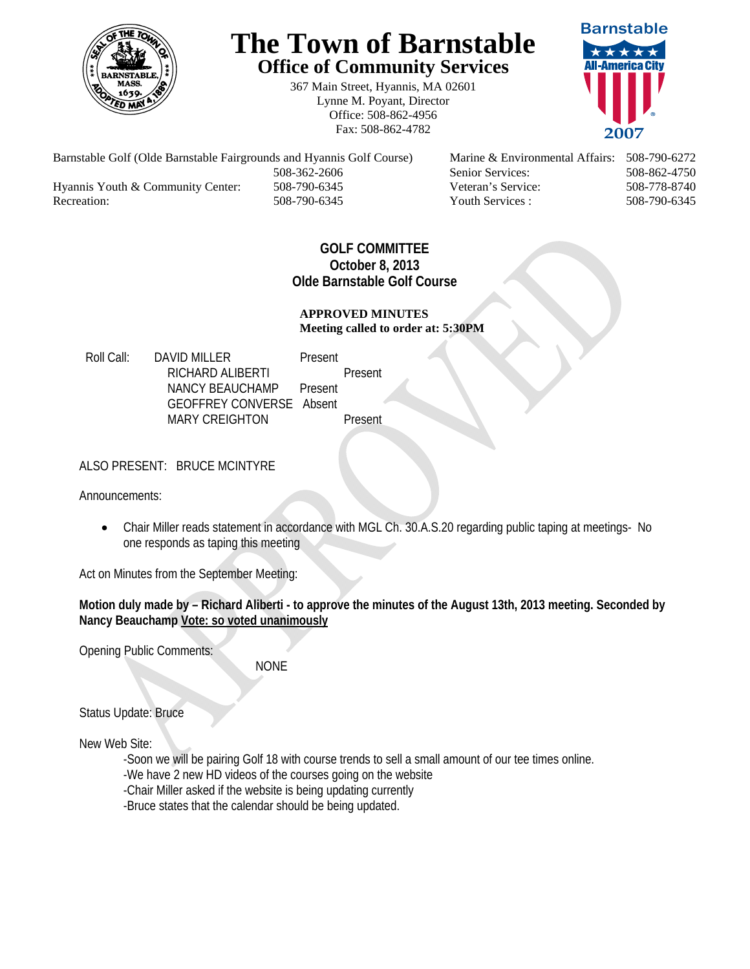

# **The Town of Barnstable Office of Community Services**

367 Main Street, Hyannis, MA 02601 Lynne M. Poyant, Director Office: 508-862-4956 Fax: 508-862-4782



Barnstable Golf (Olde Barnstable Fairgrounds and Hyannis Golf Course) Marine & Environmental Affairs: 508-790-6272 508-362-2606 Senior Services: 508-862-4750 Hyannis Youth & Community Center: 508-790-6345 Veteran's Service: 508-778-8740 Recreation: 508-790-6345 Youth Services : 508-790-6345 S08-790-6345

## **GOLF COMMITTEE October 8, 2013 Olde Barnstable Golf Course**

#### **APPROVED MINUTES Meeting called to order at: 5:30PM**

Roll Call: DAVID MILLER Present RICHARD ALIBERTI Present NANCY BEAUCHAMP Present GEOFFREY CONVERSE Absent MARY CREIGHTON Present

## ALSO PRESENT: BRUCE MCINTYRE

Announcements:

 Chair Miller reads statement in accordance with MGL Ch. 30.A.S.20 regarding public taping at meetings- No one responds as taping this meeting

Act on Minutes from the September Meeting:

**Motion duly made by – Richard Aliberti - to approve the minutes of the August 13th, 2013 meeting. Seconded by Nancy Beauchamp Vote: so voted unanimously**

Opening Public Comments:

NONE

Status Update: Bruce

New Web Site:

-Soon we will be pairing Golf 18 with course trends to sell a small amount of our tee times online.

-We have 2 new HD videos of the courses going on the website

-Chair Miller asked if the website is being updating currently

-Bruce states that the calendar should be being updated.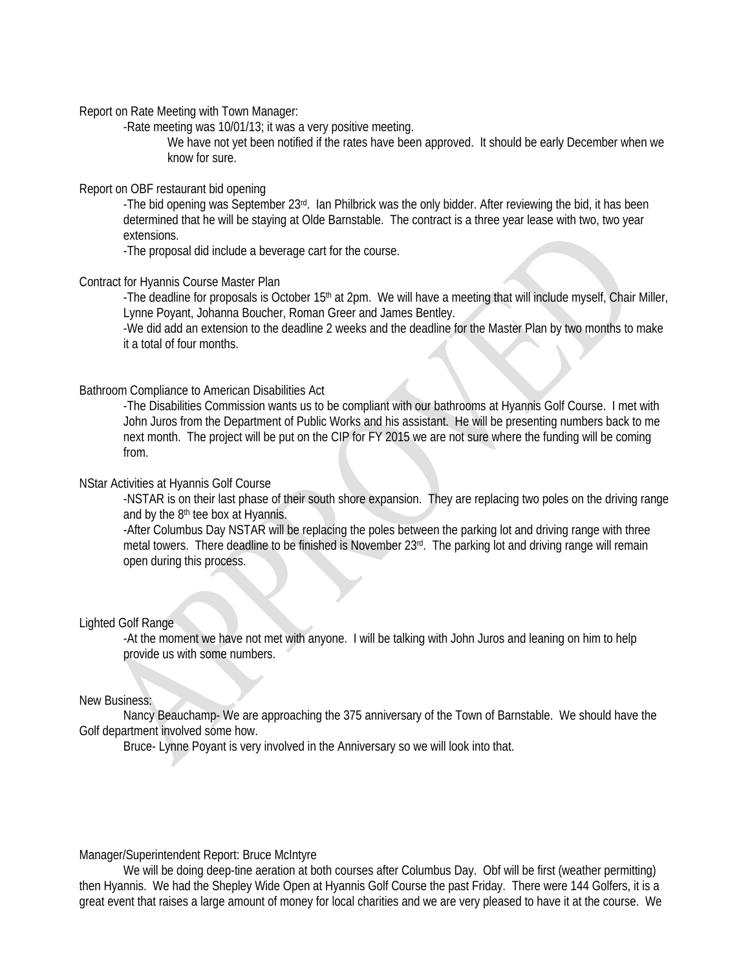Report on Rate Meeting with Town Manager:

-Rate meeting was 10/01/13; it was a very positive meeting.

We have not yet been notified if the rates have been approved. It should be early December when we know for sure.

#### Report on OBF restaurant bid opening

-The bid opening was September 23rd. Ian Philbrick was the only bidder. After reviewing the bid, it has been determined that he will be staying at Olde Barnstable. The contract is a three year lease with two, two year extensions.

-The proposal did include a beverage cart for the course.

#### Contract for Hyannis Course Master Plan

-The deadline for proposals is October 15<sup>th</sup> at 2pm. We will have a meeting that will include myself, Chair Miller, Lynne Poyant, Johanna Boucher, Roman Greer and James Bentley.

-We did add an extension to the deadline 2 weeks and the deadline for the Master Plan by two months to make it a total of four months.

#### Bathroom Compliance to American Disabilities Act

-The Disabilities Commission wants us to be compliant with our bathrooms at Hyannis Golf Course. I met with John Juros from the Department of Public Works and his assistant. He will be presenting numbers back to me next month. The project will be put on the CIP for FY 2015 we are not sure where the funding will be coming from.

#### NStar Activities at Hyannis Golf Course

-NSTAR is on their last phase of their south shore expansion. They are replacing two poles on the driving range and by the 8th tee box at Hyannis.

-After Columbus Day NSTAR will be replacing the poles between the parking lot and driving range with three metal towers. There deadline to be finished is November 23rd. The parking lot and driving range will remain open during this process.

#### Lighted Golf Range

-At the moment we have not met with anyone. I will be talking with John Juros and leaning on him to help provide us with some numbers.

#### New Business:

 Nancy Beauchamp- We are approaching the 375 anniversary of the Town of Barnstable. We should have the Golf department involved some how.

Bruce- Lynne Poyant is very involved in the Anniversary so we will look into that.

#### Manager/Superintendent Report: Bruce McIntyre

 We will be doing deep-tine aeration at both courses after Columbus Day. Obf will be first (weather permitting) then Hyannis. We had the Shepley Wide Open at Hyannis Golf Course the past Friday. There were 144 Golfers, it is a great event that raises a large amount of money for local charities and we are very pleased to have it at the course. We